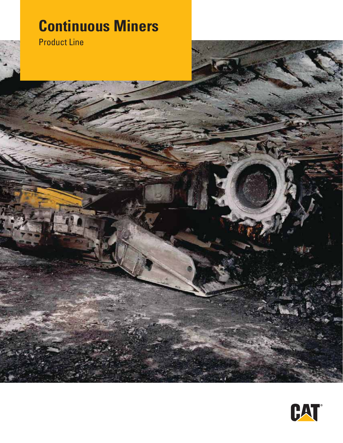# **Continuous Miners**





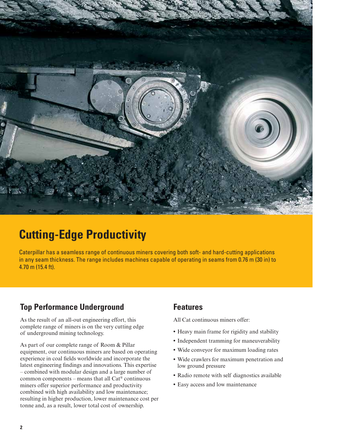

## **Cutting-Edge Productivity**

Caterpillar has a seamless range of continuous miners covering both soft- and hard-cutting applications in any seam thickness. The range includes machines capable of operating in seams from 0.76 m (30 in) to 4.70 m (15.4 ft).

### **Top Performance Underground**

As the result of an all-out engineering effort, this complete range of miners is on the very cutting edge of underground mining technology.

As part of our complete range of Room & Pillar equipment, our continuous miners are based on operating experience in coal fields worldwide and incorporate the latest engineering findings and innovations. This expertise – combined with modular design and a large number of common components – means that all Cat® continuous miners offer superior performance and productivity combined with high availability and low maintenance; resulting in higher production, lower maintenance cost per tonne and, as a result, lower total cost of ownership.

#### **Features**

All Cat continuous miners offer:

- **•** Heavy main frame for rigidity and stability
- **•** Independent tramming for maneuverability
- **•** Wide conveyor for maximum loading rates
- **•** Wide crawlers for maximum penetration and low ground pressure
- **•** Radio remote with self diagnostics available
- **•** Easy access and low maintenance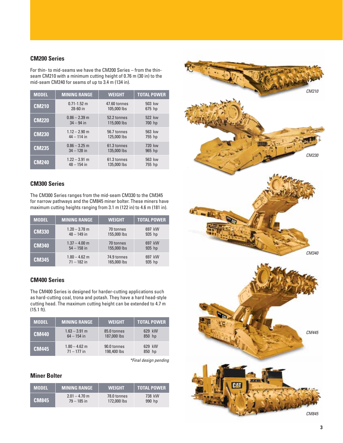#### **CM200 Series**

For thin- to mid-seams we have the CM200 Series – from the thinseam CM210 with a minimum cutting height of 0.76 m (30 in) to the mid-seam CM240 for seams of up to 3.4 m (134 in).

| <b>MODEL</b> | <b>MINING RANGE</b> | <b>WEIGHT</b> | <b>TOTAL POWER</b> |
|--------------|---------------------|---------------|--------------------|
| <b>CM210</b> | $0.71 - 1.52$ m     | 47.60 tonnes  | 503 kw             |
|              | 28-60 in            | 105,000 lbs   | 675 hp             |
| <b>CM220</b> | $0.86 - 2.39$ m     | 52.2 tonnes   | 522 kw             |
|              | $34 - 94$ in        | 115,000 lbs   | 700 hp             |
| <b>CM230</b> | $1.12 - 2.90$ m     | 56.7 tonnes   | 563 kw             |
|              | $44 - 114$ in       | 125,000 lbs   | 755 hp             |
| <b>CM235</b> | $0.86 - 3.25$ m     | 61.3 tonnes   | 720 kw             |
|              | $34 - 128$ in       | 135,000 lbs   | 965 hp             |
| <b>CM240</b> | $1.22 - 3.91$ m     | 61.3 tonnes   | 563 kw             |
|              | $48 - 154$ in       | 135,000 lbs   | 755 hp             |

#### **CM300 Series**

The CM300 Series ranges from the mid-seam CM330 to the CM345 for narrow pathways and the CM845 miner bolter. These miners have maximum cutting heights ranging from 3.1 m (122 in) to 4.6 m (181 in).

| <b>MODEL</b> | <b>MINING RANGE</b> | <b>WEIGHT</b> | <b>TOTAL POWER</b> |
|--------------|---------------------|---------------|--------------------|
| <b>CM330</b> | $1.20 - 3.78$ m     | 70 tonnes     | 697 kW             |
|              | $48 - 149$ in       | 155,000 lbs   | 935 hp             |
| <b>CM340</b> | $1.37 - 4.00$ m     | 70 tonnes     | 697 kW             |
|              | $54 - 158$ in       | 155,000 lbs   | 935 hp             |
| <b>CM345</b> | $1.80 - 4.62$ m     | 74.9 tonnes   | 697 kW             |
|              | $71 - 182$ in       | 165,000 lbs   | 935 hp             |

#### **CM400 Series**

The CM400 Series is designed for harder-cutting applications such as hard-cutting coal, trona and potash. They have a hard head-style cutting head. The maximum cutting height can be extended to 4.7 m (15.1 ft).

| <b>MODEL</b> | <b>MINING RANGE</b> | <b>WEIGHT</b> | <b>TOTAL POWER</b> |
|--------------|---------------------|---------------|--------------------|
| <b>CM440</b> | $1.63 - 3.91$ m     | 85.0 tonnes   | 629 kW             |
|              | $64 - 154$ in       | 187,000 lbs   | 850 hp             |
| <b>CM445</b> | $1.80 - 4.62$ m     | 90.0 tonnes   | 629 kW             |
|              | $71 - 177$ in       | 198,400 lbs   | 850 hp             |

*\*Final design pending*

#### **Miner Bolter**

| MODEL'       | <b>MINING RANGE</b> | <b>WEIGHT</b> | <b>TOTAL POWER</b> |
|--------------|---------------------|---------------|--------------------|
| <b>CM845</b> | $2.01 - 4.70$ m     | 78.0 tonnes   | 738 kW             |
|              | $79 - 185$ in       | 172,000 lbs   | 990 hp             |

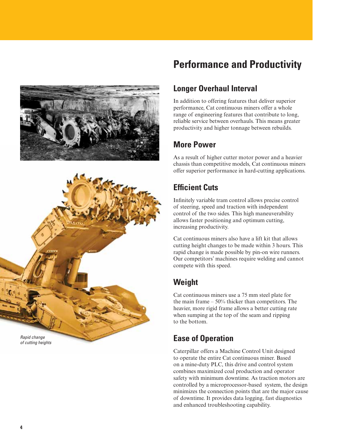



## **Performance and Productivity**

### **Longer Overhaul Interval**

In addition to offering features that deliver superior performance, Cat continuous miners offer a whole range of engineering features that contribute to long, reliable service between overhauls. This means greater productivity and higher tonnage between rebuilds.

### **More Power**

As a result of higher cutter motor power and a heavier chassis than competitive models, Cat continuous miners offer superior performance in hard-cutting applications.

## **Efficient Cuts**

Infinitely variable tram control allows precise control of steering, speed and traction with independent control of the two sides. This high maneuverability allows faster positioning and optimum cutting, increasing productivity.

Cat continuous miners also have a lift kit that allows cutting height changes to be made within 3 hours. This rapid change is made possible by pin-on wire runners. Our competitors' machines require welding and cannot compete with this speed.

### **Weight**

Cat continuous miners use a 75 mm steel plate for the main frame  $-50\%$  thicker than competitors. The heavier, more rigid frame allows a better cutting rate when sumping at the top of the seam and ripping to the bottom.

### **Ease of Operation**

Caterpillar offers a Machine Control Unit designed to operate the entire Cat continuous miner. Based on a mine-duty PLC, this drive and control system combines maximized coal production and operator safety with minimum downtime. As traction motors are controlled by a microprocessor-based system, the design minimizes the connection points that are the major cause of downtime. It provides data logging, fast diagnostics and enhanced troubleshooting capability.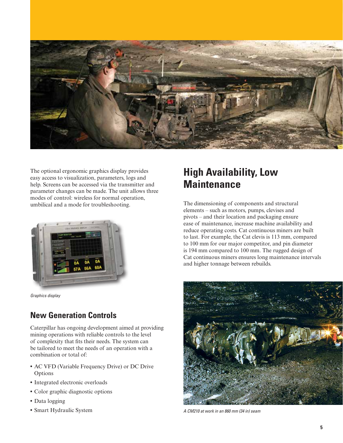

The optional ergonomic graphics display provides easy access to visualization, parameters, logs and help. Screens can be accessed via the transmitter and parameter changes can be made. The unit allows three modes of control: wireless for normal operation, umbilical and a mode for troubleshooting.

![](_page_4_Picture_2.jpeg)

*Graphics display*

#### **New Generation Controls**

Caterpillar has ongoing development aimed at providing mining operations with reliable controls to the level of complexity that fits their needs. The system can be tailored to meet the needs of an operation with a combination or total of:

- **•** AC VFD (Variable Frequency Drive) or DC Drive Options
- **•** Integrated electronic overloads
- **•** Color graphic diagnostic options
- **•** Data logging
- **•** Smart Hydraulic System

## **High Availability, Low Maintenance**

The dimensioning of components and structural elements – such as motors, pumps, clevises and pivots – and their location and packaging ensure ease of maintenance, increase machine availability and reduce operating costs. Cat continuous miners are built to last. For example, the Cat clevis is 113 mm, compared to 100 mm for our major competitor, and pin diameter is 194 mm compared to 100 mm. The rugged design of Cat continuous miners ensures long maintenance intervals and higher tonnage between rebuilds.

![](_page_4_Picture_13.jpeg)

*A CM210 at work in an 860 mm (34 in) seam*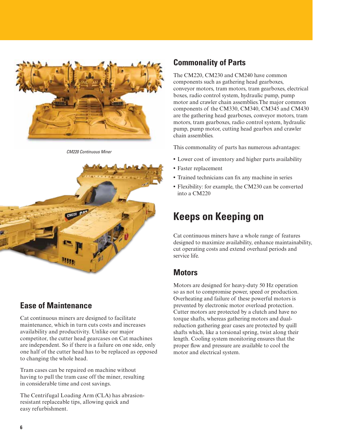![](_page_5_Picture_0.jpeg)

*CM220 Continuous Miner*

![](_page_5_Picture_2.jpeg)

#### **Ease of Maintenance**

Cat continuous miners are designed to facilitate maintenance, which in turn cuts costs and increases availability and productivity. Unlike our major competitor, the cutter head gearcases on Cat machines are independent. So if there is a failure on one side, only one half of the cutter head has to be replaced as opposed to changing the whole head.

Tram cases can be repaired on machine without having to pull the tram case off the miner, resulting in considerable time and cost savings.

The Centrifugal Loading Arm (CLA) has abrasionresistant replaceable tips, allowing quick and easy refurbishment.

#### **Commonality of Parts**

The CM220, CM230 and CM240 have common components such as gathering head gearboxes, conveyor motors, tram motors, tram gearboxes, electrical boxes, radio control system, hydraulic pump, pump motor and crawler chain assemblies.The major common components of the CM330, CM340, CM345 and CM430 are the gathering head gearboxes, conveyor motors, tram motors, tram gearboxes, radio control system, hydraulic pump, pump motor, cutting head gearbox and crawler chain assemblies.

This commonality of parts has numerous advantages:

- **•** Lower cost of inventory and higher parts availability
- **•** Faster replacement
- **•** Trained technicians can fix any machine in series
- **•** Flexibility: for example, the CM230 can be converted into a CM220

## **Keeps on Keeping on**

Cat continuous miners have a whole range of features designed to maximize availability, enhance maintainability, cut operating costs and extend overhaul periods and service life.

#### **Motors**

Motors are designed for heavy-duty 50 Hz operation so as not to compromise power, speed or production. Overheating and failure of these powerful motors is prevented by electronic motor overload protection. Cutter motors are protected by a clutch and have no torque shafts, whereas gathering motors and dualreduction gathering gear cases are protected by quill shafts which, like a torsional spring, twist along their length. Cooling system monitoring ensures that the proper flow and pressure are available to cool the motor and electrical system.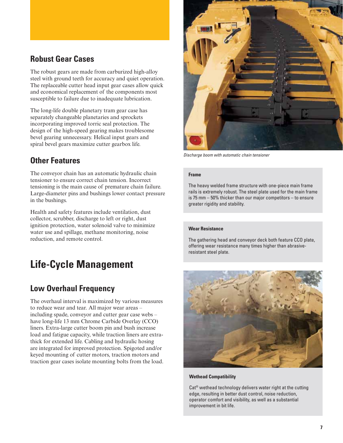#### **Robust Gear Cases**

The robust gears are made from carburized high-alloy steel with ground teeth for accuracy and quiet operation. The replaceable cutter head input gear cases allow quick and economical replacement of the components most susceptible to failure due to inadequate lubrication.

The long-life double planetary tram gear case has separately changeable planetaries and sprockets incorporating improved torric seal protection. The design of the high-speed gearing makes troublesome bevel gearing unnecessary. Helical input gears and spiral bevel gears maximize cutter gearbox life.

#### **Other Features**

The conveyor chain has an automatic hydraulic chain tensioner to ensure correct chain tension. Incorrect tensioning is the main cause of premature chain failure. Large-diameter pins and bushings lower contact pressure in the bushings.

Health and safety features include ventilation, dust collector, scrubber, discharge to left or right, dust ignition protection, water solenoid valve to minimize water use and spillage, methane monitoring, noise reduction, and remote control.

## **Life-Cycle Management**

### **Low Overhaul Frequency**

The overhaul interval is maximized by various measures to reduce wear and tear. All major wear areas – including spade, conveyor and cutter gear case webs – have long-life 13 mm Chrome Carbide Overlay (CCO) liners. Extra-large cutter boom pin and bush increase load and fatigue capacity, while traction liners are extrathick for extended life. Cabling and hydraulic hosing are integrated for improved protection. Spigoted and/or keyed mounting of cutter motors, traction motors and traction gear cases isolate mounting bolts from the load.

![](_page_6_Picture_9.jpeg)

*Discharge boom with automatic chain tensioner*

#### **Frame**

The heavy welded frame structure with one-piece main frame rails is extremely robust. The steel plate used for the main frame is 75 mm – 50% thicker than our major competitors – to ensure greater rigidity and stability.

#### **Wear Resistance**

The gathering head and conveyor deck both feature CCO plate, offering wear resistance many times higher than abrasiveresistant steel plate.

![](_page_6_Picture_15.jpeg)

**Wethead Compatibility**

Cat® wethead technology delivers water right at the cutting edge, resulting in better dust control, noise reduction, operator comfort and visibility, as well as a substantial improvement in bit life.